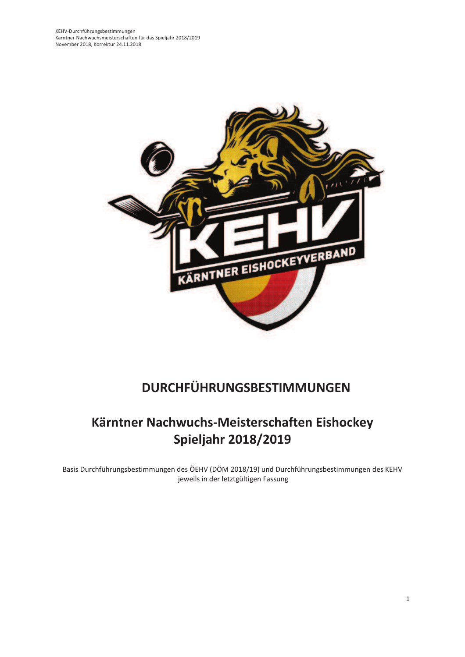

# DURCHFÜHRUNGSBESTIMMUNGEN

# Kärntner Nachwuchs-Meisterschaften Eishockey **Spieljahr 2018/2019**

Basis Durchführungsbestimmungen des ÖEHV (DÖM 2018/19) und Durchführungsbestimmungen des KEHV jeweils in der letztgültigen Fassung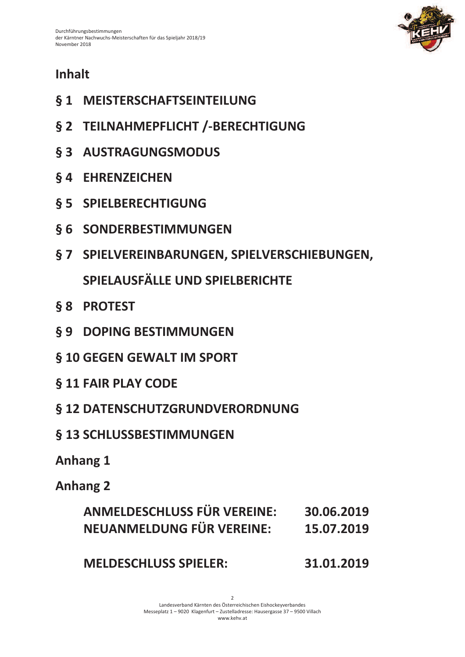

# **Inhalt**

- § 1 MEISTERSCHAFTSEINTEILUNG
- § 2 TEILNAHMEPFLICHT /-BERECHTIGUNG
- § 3 AUSTRAGUNGSMODUS
- **§4 EHRENZEICHEN**
- **§ 5 SPIELBERECHTIGUNG**
- § 6 SONDERBESTIMMUNGEN
- § 7 SPIELVEREINBARUNGEN, SPIELVERSCHIEBUNGEN,

SPIELAUSFÄLLE UND SPIELBERICHTE

- § 8 PROTEST
- § 9 DOPING BESTIMMUNGEN
- § 10 GEGEN GEWALT IM SPORT
- § 11 FAIR PLAY CODE
- § 12 DATENSCHUTZGRUNDVERORDNUNG
- § 13 SCHLUSSBESTIMMUNGEN
- **Anhang 1**

## **Anhang 2**

| ANMELDESCHLUSS FÜR VEREINE: | 30.06.2019 |
|-----------------------------|------------|
| NEUANMELDUNG FÜR VEREINE:   | 15.07.2019 |

**MELDESCHLUSS SPIELER:** 31.01.2019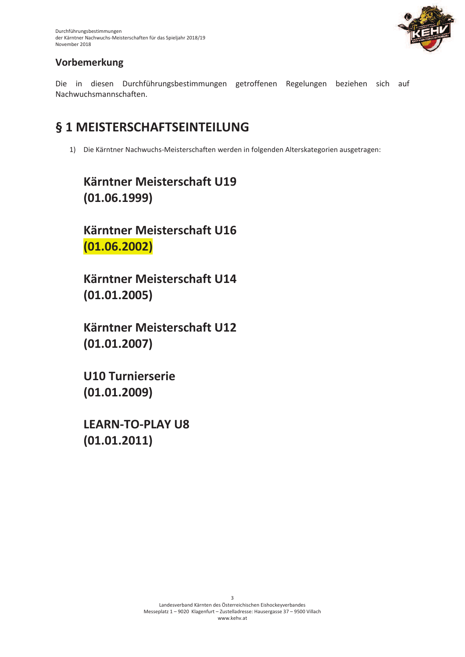

## **Yorbemerkung**

Die in diesen Durchführungsbestimmungen getroffenen Regelungen beziehen sich auf Nachwuchsmannschaften.

## § 1 MEISTERSCHAFTSEINTEILUNG

1) Die Kärntner Nachwuchs-Meisterschaften werden in folgenden Alterskategorien ausgetragen:

# **Kärntner Meisterschaft U19**  $(01.06.1999)$

**Kärntner Meisterschaft U16**  $(01.06.2002)$ 

**Kärntner Meisterschaft U14**  $(01.01.2005)$ 

**Kärntner Meisterschaft U12**  $(01.01.2007)$ 

**U10 Turnierserie**  $(01.01.2009)$ 

**LEARN-TO-PLAY U8**  $(01.01.2011)$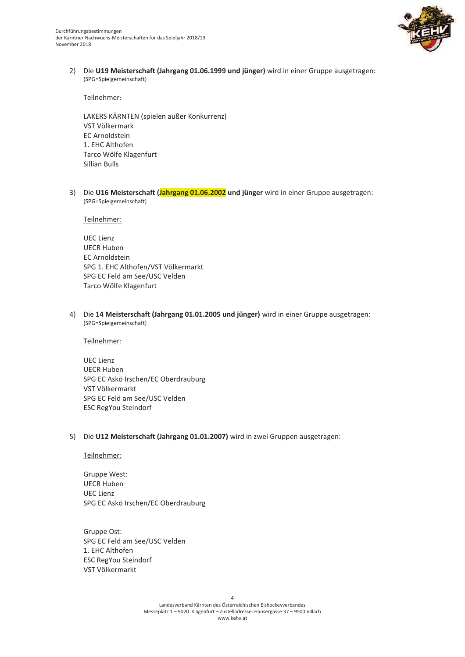

2) Die U19 Meisterschaft (Jahrgang 01.06.1999 und jünger) wird in einer Gruppe ausgetragen: (SPG=Spielgemeinschaft)

Teilnehmer:

LAKERS KÄRNTEN (spielen außer Konkurrenz) VST Völkermark **EC Arnoldstein** 1. FHC Althofen Tarco Wölfe Klagenfurt Sillian Bulls

3) Die U16 Meisterschaft (Jahrgang 01.06.2002 und jünger wird in einer Gruppe ausgetragen: (SPG=Spielgemeinschaft)

Teilnehmer:

**UEC Lienz UECR Huben EC Arnoldstein** SPG 1. EHC Althofen/VST Völkermarkt SPG EC Feld am See/USC Velden Tarco Wölfe Klagenfurt

4) Die 14 Meisterschaft (Jahrgang 01.01.2005 und jünger) wird in einer Gruppe ausgetragen: (SPG=Spielgemeinschaft)

Teilnehmer:

**UEC Lienz UECR Huben** SPG EC Askö Irschen/EC Oberdrauburg VST Völkermarkt SPG EC Feld am See/USC Velden **ESC RegYou Steindorf** 

#### 5) Die U12 Meisterschaft (Jahrgang 01.01.2007) wird in zwei Gruppen ausgetragen:

Teilnehmer:

Gruppe West: **UECR Huben UEC Lienz** SPG EC Askö Irschen/EC Oberdrauburg

Gruppe Ost: SPG EC Feld am See/USC Velden 1. EHC Althofen **ESC RegYou Steindorf** VST Völkermarkt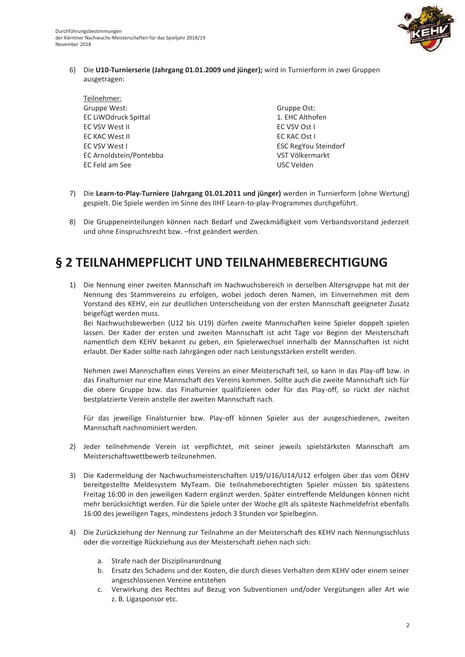

6) Die U10-Turnierserie (Jahrgang 01.01.2009 und jünger); wird in Turnierform in zwei Gruppen ausgetragen:

Teilnehmer: Gruppe West: **EC LiWOdruck Spittal EC VSV West II EC KAC West II** EC VSV West I EC Arnoldstein/Pontebba EC Feld am See

Gruppe Ost: 1. EHC Althofen EC VSV Ost I EC KAC Ost I **ESC RegYou Steindorf** VST Völkermarkt USC Velden

- 7) Die Learn-to-Play-Turniere (Jahrgang 01.01.2011 und jünger) werden in Turnierform (ohne Wertung) gespielt. Die Spiele werden im Sinne des IIHF Learn-to-play-Programmes durchgeführt.
- 8) Die Gruppeneinteilungen können nach Bedarf und Zweckmäßigkeit vom Verbandsvorstand jederzeit und ohne Einspruchsrecht bzw. - frist geändert werden.

## § 2 TEILNAHMEPFLICHT UND TEILNAHMEBERECHTIGUNG

1) Die Nennung einer zweiten Mannschaft im Nachwuchsbereich in derselben Altersgruppe hat mit der Nennung des Stammvereins zu erfolgen, wobei jedoch deren Namen, im Einvernehmen mit dem Vorstand des KEHV, ein zur deutlichen Unterscheidung von der ersten Mannschaft geeigneter Zusatz beigefügt werden muss.

Bei Nachwuchsbewerben (U12 bis U19) dürfen zweite Mannschaften keine Spieler doppelt spielen lassen. Der Kader der ersten und zweiten Mannschaft ist acht Tage vor Beginn der Meisterschaft namentlich dem KEHV bekannt zu geben, ein Spielerwechsel innerhalb der Mannschaften ist nicht erlaubt. Der Kader sollte nach Jahrgängen oder nach Leistungsstärken erstellt werden.

Nehmen zwei Mannschaften eines Vereins an einer Meisterschaft teil, so kann in das Play-off bzw. in das Finalturnier nur eine Mannschaft des Vereins kommen. Sollte auch die zweite Mannschaft sich für die obere Gruppe bzw. das Finalturnier qualifizieren oder für das Play-off, so rückt der nächst bestplatzierte Verein anstelle der zweiten Mannschaft nach.

Für das jeweilige Finalsturnier bzw. Play-off können Spieler aus der ausgeschiedenen, zweiten Mannschaft nachnominiert werden.

- 2) Jeder teilnehmende Verein ist verpflichtet, mit seiner jeweils spielstärksten Mannschaft am Meisterschaftswettbewerb teilzunehmen.
- 3) Die Kadermeldung der Nachwuchsmeisterschaften U19/U16/U14/U12 erfolgen über das vom ÖEHV bereitgestellte Meldesystem MyTeam. Die teilnahmeberechtigten Spieler müssen bis spätestens Freitag 16:00 in den jeweiligen Kadern ergänzt werden. Später eintreffende Meldungen können nicht mehr berücksichtigt werden. Für die Spiele unter der Woche gilt als späteste Nachmeldefrist ebenfalls 16:00 des jeweiligen Tages, mindestens jedoch 3 Stunden vor Spielbeginn.
- 4) Die Zurückziehung der Nennung zur Teilnahme an der Meisterschaft des KEHV nach Nennungsschluss oder die vorzeitige Rückziehung aus der Meisterschaft ziehen nach sich:
	- a. Strafe nach der Disziplinarordnung
	- b. Ersatz des Schadens und der Kosten, die durch dieses Verhalten dem KEHV oder einem seiner angeschlossenen Vereine entstehen
	- c. Verwirkung des Rechtes auf Bezug von Subventionen und/oder Vergütungen aller Art wie z. B. Ligasponsor etc.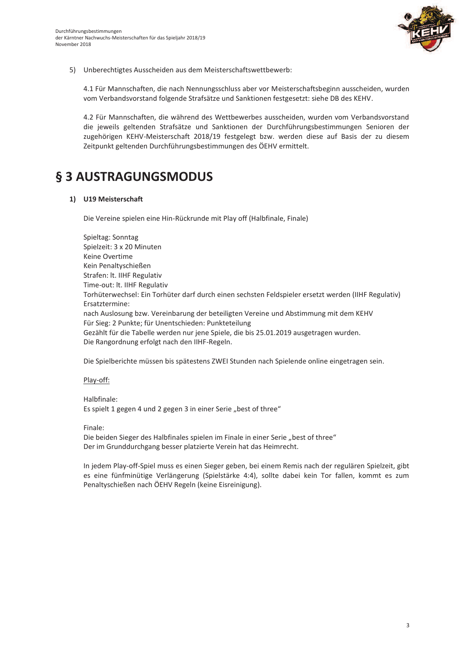

5) Unberechtigtes Ausscheiden aus dem Meisterschaftswettbewerb:

4.1 Für Mannschaften, die nach Nennungsschluss aber vor Meisterschaftsbeginn ausscheiden, wurden vom Verbandsvorstand folgende Strafsätze und Sanktionen festgesetzt: siehe DB des KEHV.

4.2 Für Mannschaften, die während des Wettbewerbes ausscheiden, wurden vom Verbandsvorstand die jeweils geltenden Strafsätze und Sanktionen der Durchführungsbestimmungen Senioren der zugehörigen KEHV-Meisterschaft 2018/19 festgelegt bzw. werden diese auf Basis der zu diesem Zeitpunkt geltenden Durchführungsbestimmungen des ÖEHV ermittelt.

## § 3 AUSTRAGUNGSMODUS

#### 1) U19 Meisterschaft

Die Vereine spielen eine Hin-Rückrunde mit Play off (Halbfinale, Finale)

Spieltag: Sonntag Spielzeit: 3 x 20 Minuten Keine Overtime Kein Penaltyschießen Strafen: It. IIHF Regulativ Time-out: lt. IIHF Regulativ Torhüterwechsel: Ein Torhüter darf durch einen sechsten Feldspieler ersetzt werden (IIHF Regulativ) Ersatztermine: nach Auslosung bzw. Vereinbarung der beteiligten Vereine und Abstimmung mit dem KEHV Für Sieg: 2 Punkte; für Unentschieden: Punkteteilung Gezählt für die Tabelle werden nur jene Spiele, die bis 25.01.2019 ausgetragen wurden. Die Rangordnung erfolgt nach den IIHF-Regeln.

Die Spielberichte müssen bis spätestens ZWEI Stunden nach Spielende online eingetragen sein.

#### Play-off:

Halbfinale: Es spielt 1 gegen 4 und 2 gegen 3 in einer Serie "best of three"

#### Finale:

Die beiden Sieger des Halbfinales spielen im Finale in einer Serie "best of three" Der im Grunddurchgang besser platzierte Verein hat das Heimrecht.

In jedem Play-off-Spiel muss es einen Sieger geben, bei einem Remis nach der regulären Spielzeit, gibt es eine fünfminütige Verlängerung (Spielstärke 4:4), sollte dabei kein Tor fallen, kommt es zum Penaltyschießen nach ÖEHV Regeln (keine Eisreinigung).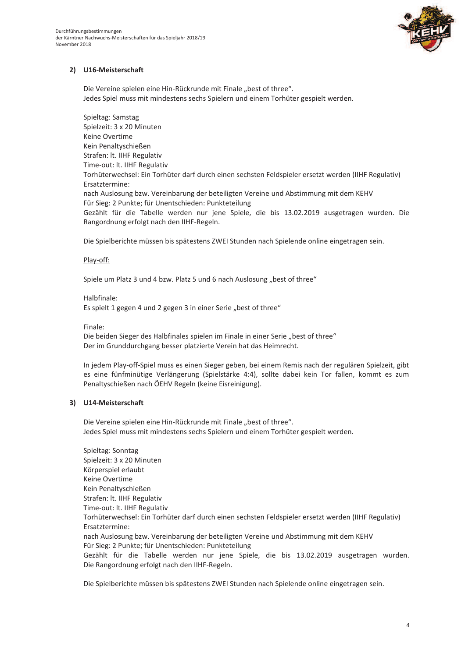

### 2) U16-Meisterschaft

Die Vereine spielen eine Hin-Rückrunde mit Finale "best of three". Jedes Spiel muss mit mindestens sechs Spielern und einem Torhüter gespielt werden.

Spieltag: Samstag Spielzeit: 3 x 20 Minuten Keine Overtime Kein Penaltyschießen Strafen: It. IIHF Regulativ Time-out: lt. IIHF Regulativ Torhüterwechsel: Ein Torhüter darf durch einen sechsten Feldspieler ersetzt werden (IIHF Regulativ) Ersatztermine: nach Auslosung bzw. Vereinbarung der beteiligten Vereine und Abstimmung mit dem KEHV Für Sieg: 2 Punkte; für Unentschieden: Punkteteilung Gezählt für die Tabelle werden nur jene Spiele, die bis 13.02.2019 ausgetragen wurden. Die Rangordnung erfolgt nach den IIHF-Regeln.

Die Spielberichte müssen bis spätestens ZWEI Stunden nach Spielende online eingetragen sein.

#### Play-off:

Spiele um Platz 3 und 4 bzw. Platz 5 und 6 nach Auslosung "best of three"

#### Halbfinale:

Es spielt 1 gegen 4 und 2 gegen 3 in einer Serie "best of three"

Finale<sup>.</sup>

Die beiden Sieger des Halbfinales spielen im Finale in einer Serie "best of three" Der im Grunddurchgang besser platzierte Verein hat das Heimrecht.

In jedem Play-off-Spiel muss es einen Sieger geben, bei einem Remis nach der regulären Spielzeit, gibt es eine fünfminütige Verlängerung (Spielstärke 4:4), sollte dabei kein Tor fallen, kommt es zum Penaltyschießen nach ÖEHV Regeln (keine Eisreinigung).

### 3) U14-Meisterschaft

Die Vereine spielen eine Hin-Rückrunde mit Finale "best of three". Jedes Spiel muss mit mindestens sechs Spielern und einem Torhüter gespielt werden.

Spieltag: Sonntag Spielzeit: 3 x 20 Minuten Körperspiel erlaubt Keine Overtime Kein Penaltyschießen Strafen: lt. IIHF Regulativ Time-out: lt. IIHF Regulativ Torhüterwechsel: Ein Torhüter darf durch einen sechsten Feldspieler ersetzt werden (IIHF Regulativ) Frsatztermine: nach Auslosung bzw. Vereinbarung der beteiligten Vereine und Abstimmung mit dem KEHV Für Sieg: 2 Punkte; für Unentschieden: Punkteteilung Gezählt für die Tabelle werden nur jene Spiele, die bis 13.02.2019 ausgetragen wurden. Die Rangordnung erfolgt nach den IIHF-Regeln.

Die Spielberichte müssen bis spätestens ZWEI Stunden nach Spielende online eingetragen sein.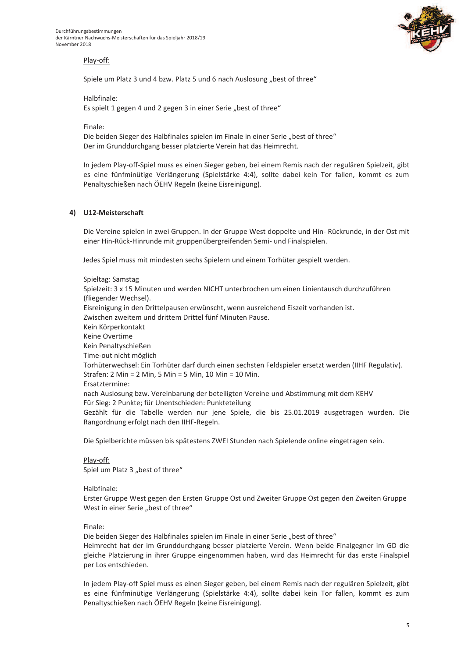

### Play-off:

Spiele um Platz 3 und 4 bzw. Platz 5 und 6 nach Auslosung "best of three"

Halbfinale:

Es spielt 1 gegen 4 und 2 gegen 3 in einer Serie "best of three"

Finale:

Die beiden Sieger des Halbfinales spielen im Finale in einer Serie "best of three" Der im Grunddurchgang besser platzierte Verein hat das Heimrecht.

In jedem Play-off-Spiel muss es einen Sieger geben, bei einem Remis nach der regulären Spielzeit, gibt es eine fünfminütige Verlängerung (Spielstärke 4:4), sollte dabei kein Tor fallen, kommt es zum Penaltyschießen nach ÖEHV Regeln (keine Eisreinigung).

#### 4) U12-Meisterschaft

Die Vereine spielen in zwei Gruppen. In der Gruppe West doppelte und Hin- Rückrunde, in der Ost mit einer Hin-Rück-Hinrunde mit gruppenübergreifenden Semi- und Finalspielen.

Jedes Spiel muss mit mindesten sechs Spielern und einem Torhüter gespielt werden.

Spieltag: Samstag Spielzeit: 3 x 15 Minuten und werden NICHT unterbrochen um einen Linientausch durchzuführen (fliegender Wechsel). Eisreinigung in den Drittelpausen erwünscht, wenn ausreichend Eiszeit vorhanden ist. Zwischen zweitem und drittem Drittel fünf Minuten Pause. Kein Körperkontakt Keine Overtime Kein Penaltyschießen Time-out nicht möglich Torhüterwechsel: Ein Torhüter darf durch einen sechsten Feldspieler ersetzt werden (IIHF Regulativ). Strafen: 2 Min = 2 Min, 5 Min = 5 Min, 10 Min = 10 Min. Frsatztermine: nach Auslosung bzw. Vereinbarung der beteiligten Vereine und Abstimmung mit dem KEHV Für Sieg: 2 Punkte; für Unentschieden: Punkteteilung Gezählt für die Tabelle werden nur jene Spiele, die bis 25.01.2019 ausgetragen wurden. Die Rangordnung erfolgt nach den IIHF-Regeln.

Die Spielberichte müssen bis spätestens ZWEI Stunden nach Spielende online eingetragen sein.

Play-off: Spiel um Platz 3 "best of three"

Halbfinale:

Erster Gruppe West gegen den Ersten Gruppe Ost und Zweiter Gruppe Ost gegen den Zweiten Gruppe West in einer Serie "best of three"

Finale:

Die beiden Sieger des Halbfinales spielen im Finale in einer Serie "best of three" Heimrecht hat der im Grunddurchgang besser platzierte Verein. Wenn beide Finalgegner im GD die gleiche Platzierung in ihrer Gruppe eingenommen haben, wird das Heimrecht für das erste Finalspiel per Los entschieden.

In jedem Play-off Spiel muss es einen Sieger geben, bei einem Remis nach der regulären Spielzeit, gibt es eine fünfminütige Verlängerung (Spielstärke 4:4), sollte dabei kein Tor fallen, kommt es zum Penaltyschießen nach ÖEHV Regeln (keine Eisreinigung).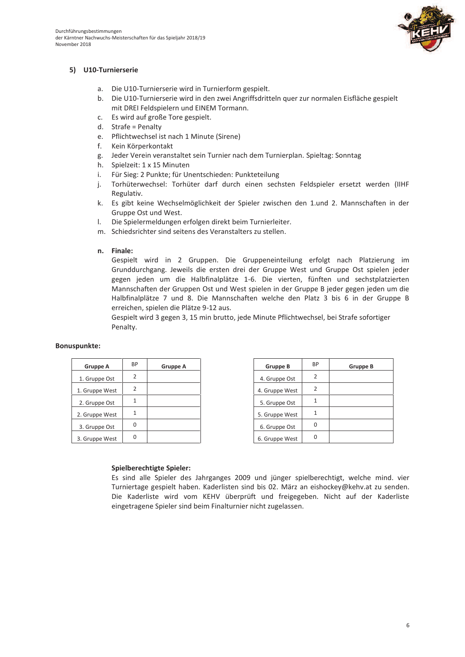

### 5) U10-Turnierserie

- a. Die U10-Turnierserie wird in Turnierform gespielt.
- b. Die U10-Turnierserie wird in den zwei Angriffsdritteln quer zur normalen Eisfläche gespielt mit DREI Feldspielern und EINEM Tormann.
- c. Es wird auf große Tore gespielt.
- $d.$  Strafe = Penalty
- e. Pflichtwechsel ist nach 1 Minute (Sirene)
- f. Kein Körperkontakt
- g. Jeder Verein veranstaltet sein Turnier nach dem Turnierplan. Spieltag: Sonntag
- h. Spielzeit: 1 x 15 Minuten
- $i$ . Für Sieg: 2 Punkte; für Unentschieden: Punkteteilung
- j. Torhüterwechsel: Torhüter darf durch einen sechsten Feldspieler ersetzt werden (IIHF Regulativ.
- k. Es gibt keine Wechselmöglichkeit der Spieler zwischen den 1. und 2. Mannschaften in der Gruppe Ost und West.
- Die Spielermeldungen erfolgen direkt beim Turnierleiter.  $\mathbf{L}$
- m. Schiedsrichter sind seitens des Veranstalters zu stellen.

#### n. Finale:

Gespielt wird in 2 Gruppen. Die Gruppeneinteilung erfolgt nach Platzierung im Grunddurchgang. Jeweils die ersten drei der Gruppe West und Gruppe Ost spielen jeder gegen jeden um die Halbfinalplätze 1-6. Die vierten, fünften und sechstplatzierten Mannschaften der Gruppen Ost und West spielen in der Gruppe B jeder gegen jeden um die Halbfinalplätze 7 und 8. Die Mannschaften welche den Platz 3 bis 6 in der Gruppe B erreichen, spielen die Plätze 9-12 aus.

Gespielt wird 3 gegen 3, 15 min brutto, jede Minute Pflichtwechsel, bei Strafe sofortiger Penalty.

#### **Bonuspunkte:**

| Gruppe A       | ВP | Gruppe A |
|----------------|----|----------|
| 1. Gruppe Ost  | 2  |          |
| 1. Gruppe West | 2  |          |
| 2. Gruppe Ost  |    |          |
| 2. Gruppe West |    |          |
| 3. Gruppe Ost  |    |          |
| 3. Gruppe West |    |          |

| <b>Gruppe B</b> | ВP | Gruppe B |
|-----------------|----|----------|
| 4. Gruppe Ost   | 2  |          |
| 4. Gruppe West  | 2  |          |
| 5. Gruppe Ost   |    |          |
| 5. Gruppe West  |    |          |
| 6. Gruppe Ost   |    |          |
| 6. Gruppe West  |    |          |

#### **Spielberechtigte Spieler:**

Es sind alle Spieler des Jahrganges 2009 und jünger spielberechtigt, welche mind. vier Turniertage gespielt haben. Kaderlisten sind bis 02. März an eishockey@kehv.at zu senden. Die Kaderliste wird vom KEHV überprüft und freigegeben. Nicht auf der Kaderliste eingetragene Spieler sind beim Finalturnier nicht zugelassen.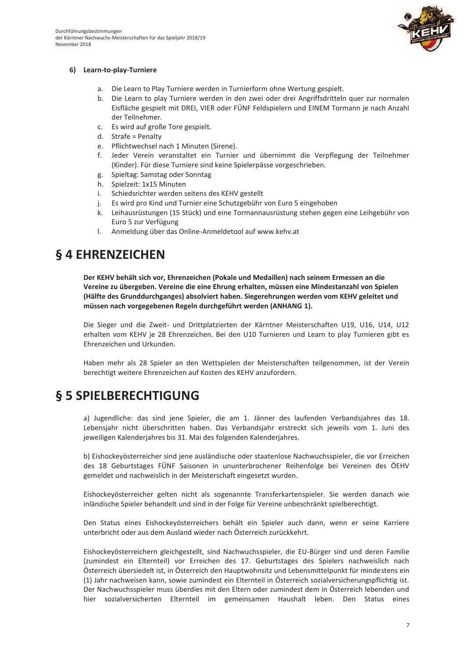

### 6) Learn-to-play-Turniere

- a. Die Learn to Play Turniere werden in Turnierform ohne Wertung gespielt.
- b. Die Learn to play Turniere werden in den zwei oder drei Angriffsdritteln quer zur normalen Eisfläche gespielt mit DREI, VIER oder FÜNF Feldspielern und EINEM Tormann je nach Anzahl der Teilnehmer.
- c. Es wird auf große Tore gespielt.
- d. Strafe = Penalty
- e. Pflichtwechsel nach 1 Minuten (Sirene).
- f. Jeder Verein veranstaltet ein Turnier und übernimmt die Verpflegung der Teilnehmer (Kinder). Für diese Turniere sind keine Spielerpässe vorgeschrieben.
- g. Spieltag: Samstag oder Sonntag
- h. Spielzeit: 1x15 Minuten
- i. Schiedsrichter werden seitens des KEHV gestellt
- Es wird pro Kind und Turnier eine Schutzgebühr von Euro 5 eingehoben i.
- k. Leihausrüstungen (15 Stück) und eine Tormannausrüstung stehen gegen eine Leihgebühr von Euro 5 zur Verfügung
- $\mathbf{L}$ Anmeldung über das Online-Anmeldetool auf www.kehv.at

## § 4 EHRENZEICHEN

Der KEHV behält sich vor, Ehrenzeichen (Pokale und Medaillen) nach seinem Ermessen an die Vereine zu übergeben. Vereine die eine Ehrung erhalten, müssen eine Mindestanzahl von Spielen (Hälfte des Grunddurchganges) absolviert haben. Siegerehrungen werden vom KEHV geleitet und müssen nach vorgegebenen Regeln durchgeführt werden (ANHANG 1).

Die Sieger und die Zweit- und Drittplatzierten der Kärntner Meisterschaften U19, U16, U14, U12 erhalten vom KEHV je 28 Ehrenzeichen. Bei den U10 Turnieren und Learn to play Turnieren gibt es Ehrenzeichen und Urkunden.

Haben mehr als 28 Spieler an den Wettspielen der Meisterschaften teilgenommen, ist der Verein berechtigt weitere Ehrenzeichen auf Kosten des KEHV anzufordern.

## § 5 SPIELBERECHTIGUNG

a) Jugendliche: das sind iene Spieler, die am 1. Jänner des laufenden Verbandsiahres das 18. Lebensjahr nicht überschritten haben. Das Verbandsjahr erstreckt sich jeweils vom 1. Juni des jeweiligen Kalenderjahres bis 31. Mai des folgenden Kalenderjahres.

b) Eishockeyösterreicher sind jene ausländische oder staatenlose Nachwuchsspieler, die vor Erreichen des 18 Geburtstages FÜNF Saisonen in ununterbrochener Reihenfolge bei Vereinen des ÖEHV gemeldet und nachweislich in der Meisterschaft eingesetzt wurden.

Eishockeyösterreicher gelten nicht als sogenannte Transferkartenspieler. Sie werden danach wie inländische Spieler behandelt und sind in der Folge für Vereine unbeschränkt spielberechtigt.

Den Status eines Eishockeyösterreichers behält ein Spieler auch dann, wenn er seine Karriere unterbricht oder aus dem Ausland wieder nach Österreich zurückkehrt.

Eishockeyösterreichern gleichgestellt, sind Nachwuchsspieler, die EU-Bürger sind und deren Familie (zumindest ein Elternteil) vor Erreichen des 17. Geburtstages des Spielers nachweislich nach Österreich übersiedelt ist, in Österreich den Hauptwohnsitz und Lebensmittelpunkt für mindestens ein (1) Jahr nachweisen kann, sowie zumindest ein Elternteil in Österreich sozialversicherungspflichtig ist. Der Nachwuchsspieler muss überdies mit den Eltern oder zumindest dem in Österreich lebenden und hier sozialversicherten Elternteil im gemeinsamen Haushalt leben. Den Status eines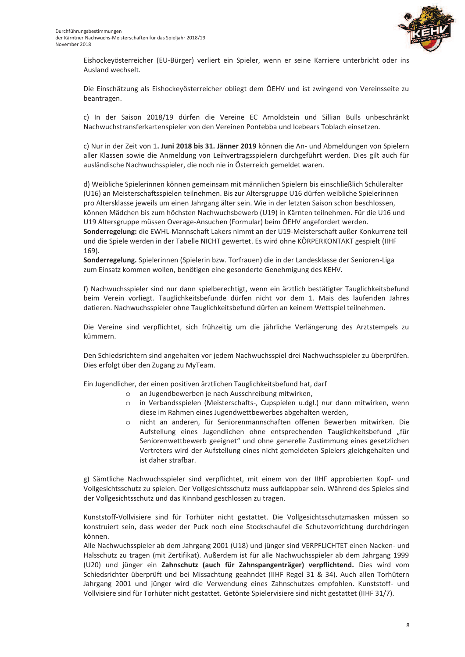

Eishockeyösterreicher (EU-Bürger) verliert ein Spieler, wenn er seine Karriere unterbricht oder ins Ausland wechselt.

Die Einschätzung als Eishockeyösterreicher obliegt dem ÖEHV und ist zwingend von Vereinsseite zu beantragen.

c) In der Saison 2018/19 dürfen die Vereine EC Arnoldstein und Sillian Bulls unbeschränkt Nachwuchstransferkartenspieler von den Vereinen Pontebba und Icebears Toblach einsetzen.

c) Nur in der Zeit von 1. Juni 2018 bis 31. Jänner 2019 können die An- und Abmeldungen von Spielern aller Klassen sowie die Anmeldung von Leihvertragsspielern durchgeführt werden. Dies gilt auch für ausländische Nachwuchsspieler, die noch nie in Österreich gemeldet waren.

d) Weibliche Spielerinnen können gemeinsam mit männlichen Spielern bis einschließlich Schüleralter (U16) an Meisterschaftsspielen teilnehmen. Bis zur Altersgruppe U16 dürfen weibliche Spielerinnen pro Altersklasse jeweils um einen Jahrgang älter sein. Wie in der letzten Saison schon beschlossen, können Mädchen bis zum höchsten Nachwuchsbewerb (U19) in Kärnten teilnehmen. Für die U16 und U19 Altersgruppe müssen Overage-Ansuchen (Formular) beim ÖEHV angefordert werden. Sonderregelung: die EWHL-Mannschaft Lakers nimmt an der U19-Meisterschaft außer Konkurrenz teil und die Spiele werden in der Tabelle NICHT gewertet. Es wird ohne KÖRPERKONTAKT gespielt (IIHF 169).

Sonderregelung. Spielerinnen (Spielerin bzw. Torfrauen) die in der Landesklasse der Senioren-Liga zum Einsatz kommen wollen, benötigen eine gesonderte Genehmigung des KEHV.

f) Nachwuchsspieler sind nur dann spielberechtigt, wenn ein ärztlich bestätigter Tauglichkeitsbefund beim Verein vorliegt. Tauglichkeitsbefunde dürfen nicht vor dem 1. Mais des laufenden Jahres datieren. Nachwuchsspieler ohne Tauglichkeitsbefund dürfen an keinem Wettspiel teilnehmen.

Die Vereine sind verpflichtet, sich frühzeitig um die jährliche Verlängerung des Arztstempels zu kümmern.

Den Schiedsrichtern sind angehalten vor jedem Nachwuchsspiel drei Nachwuchsspieler zu überprüfen. Dies erfolgt über den Zugang zu MyTeam.

Ein Jugendlicher, der einen positiven ärztlichen Tauglichkeitsbefund hat, darf

- o an Jugendbewerben je nach Ausschreibung mitwirken,
- o in Verbandsspielen (Meisterschafts-, Cupspielen u.dgl.) nur dann mitwirken, wenn diese im Rahmen eines Jugendwettbewerbes abgehalten werden,
- o nicht an anderen, für Seniorenmannschaften offenen Bewerben mitwirken. Die Aufstellung eines Jugendlichen ohne entsprechenden Tauglichkeitsbefund "für Seniorenwettbewerb geeignet" und ohne generelle Zustimmung eines gesetzlichen Vertreters wird der Aufstellung eines nicht gemeldeten Spielers gleichgehalten und ist daher strafbar.

g) Sämtliche Nachwuchsspieler sind verpflichtet, mit einem von der IIHF approbierten Kopf- und Vollgesichtsschutz zu spielen. Der Vollgesichtsschutz muss aufklappbar sein. Während des Spieles sind der Vollgesichtsschutz und das Kinnband geschlossen zu tragen.

Kunststoff-Vollvisiere sind für Torhüter nicht gestattet. Die Vollgesichtsschutzmasken müssen so konstruiert sein, dass weder der Puck noch eine Stockschaufel die Schutzvorrichtung durchdringen können

Alle Nachwuchsspieler ab dem Jahrgang 2001 (U18) und jünger sind VERPFLICHTET einen Nacken- und Halsschutz zu tragen (mit Zertifikat). Außerdem ist für alle Nachwuchsspieler ab dem Jahrgang 1999 (U20) und jünger ein Zahnschutz (auch für Zahnspangenträger) verpflichtend. Dies wird vom Schiedsrichter überprüft und bei Missachtung geahndet (IIHF Regel 31 & 34). Auch allen Torhütern Jahrgang 2001 und jünger wird die Verwendung eines Zahnschutzes empfohlen. Kunststoff- und Vollvisiere sind für Torhüter nicht gestattet. Getönte Spielervisiere sind nicht gestattet (IIHF 31/7).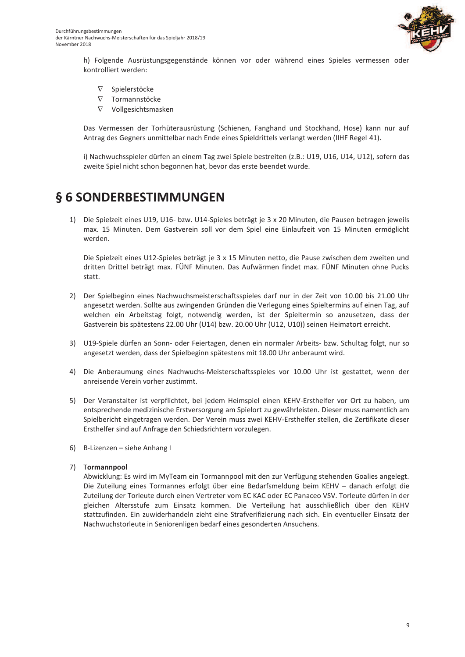

h) Folgende Ausrüstungsgegenstände können vor oder während eines Spieles vermessen oder kontrolliert werden:

- $\nabla$ Spielerstöcke
- $\nabla$ Tormannstöcke
- $\nabla$ Vollgesichtsmasken

Das Vermessen der Torhüterausrüstung (Schienen, Fanghand und Stockhand, Hose) kann nur auf Antrag des Gegners unmittelbar nach Ende eines Spieldrittels verlangt werden (IIHF Regel 41).

i) Nachwuchsspieler dürfen an einem Tag zwei Spiele bestreiten (z.B.: U19, U16, U14, U12), sofern das zweite Spiel nicht schon begonnen hat, bevor das erste beendet wurde.

## § 6 SONDERBESTIMMUNGEN

1) Die Spielzeit eines U19, U16- bzw. U14-Spieles beträgt je 3 x 20 Minuten, die Pausen betragen jeweils max. 15 Minuten. Dem Gastverein soll vor dem Spiel eine Einlaufzeit von 15 Minuten ermöglicht werden.

Die Spielzeit eines U12-Spieles beträgt je 3 x 15 Minuten netto, die Pause zwischen dem zweiten und dritten Drittel beträgt max. FÜNF Minuten. Das Aufwärmen findet max. FÜNF Minuten ohne Pucks statt

- 2) Der Spielbeginn eines Nachwuchsmeisterschaftsspieles darf nur in der Zeit von 10.00 bis 21.00 Uhr angesetzt werden. Sollte aus zwingenden Gründen die Verlegung eines Spieltermins auf einen Tag, auf welchen ein Arbeitstag folgt, notwendig werden, ist der Spieltermin so anzusetzen, dass der Gastverein bis spätestens 22.00 Uhr (U14) bzw. 20.00 Uhr (U12, U10)) seinen Heimatort erreicht.
- 3) U19-Spiele dürfen an Sonn- oder Feiertagen, denen ein normaler Arbeits- bzw. Schultag folgt, nur so angesetzt werden, dass der Spielbeginn spätestens mit 18.00 Uhr anberaumt wird.
- 4) Die Anberaumung eines Nachwuchs-Meisterschaftsspieles vor 10.00 Uhr ist gestattet, wenn der anreisende Verein vorher zustimmt.
- 5) Der Veranstalter ist verpflichtet, bei jedem Heimspiel einen KEHV-Ersthelfer vor Ort zu haben, um entsprechende medizinische Erstversorgung am Spielort zu gewährleisten. Dieser muss namentlich am Spielbericht eingetragen werden. Der Verein muss zwei KEHV-Ersthelfer stellen, die Zertifikate dieser Ersthelfer sind auf Anfrage den Schiedsrichtern vorzulegen.
- 6) B-Lizenzen siehe Anhang I

### 7) Tormannpool

Abwicklung: Es wird im MyTeam ein Tormannpool mit den zur Verfügung stehenden Goalies angelegt. Die Zuteilung eines Tormannes erfolgt über eine Bedarfsmeldung beim KEHV - danach erfolgt die Zuteilung der Torleute durch einen Vertreter vom EC KAC oder EC Panaceo VSV. Torleute dürfen in der gleichen Altersstufe zum Einsatz kommen. Die Verteilung hat ausschließlich über den KEHV stattzufinden. Ein zuwiderhandeln zieht eine Strafverifizierung nach sich. Ein eventueller Einsatz der Nachwuchstorleute in Seniorenligen bedarf eines gesonderten Ansuchens.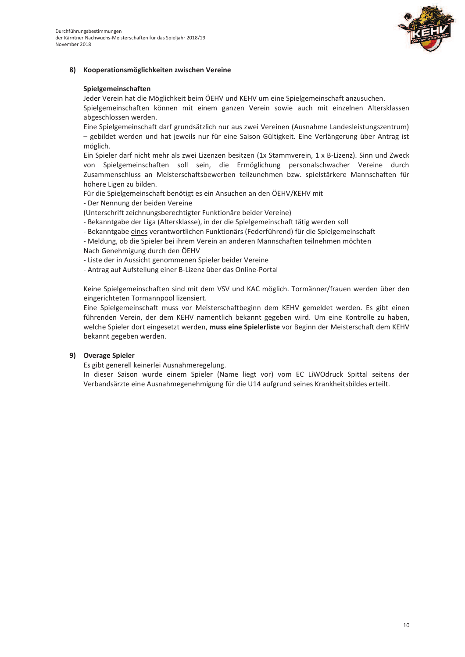

#### 8) Kooperationsmöglichkeiten zwischen Vereine

#### Spielgemeinschaften

Jeder Verein hat die Möglichkeit beim ÖEHV und KEHV um eine Spielgemeinschaft anzusuchen.

Spielgemeinschaften können mit einem ganzen Verein sowie auch mit einzelnen Altersklassen abgeschlossen werden.

Eine Spielgemeinschaft darf grundsätzlich nur aus zwei Vereinen (Ausnahme Landesleistungszentrum) - gebildet werden und hat jeweils nur für eine Saison Gültigkeit. Eine Verlängerung über Antrag ist möglich.

Ein Spieler darf nicht mehr als zwei Lizenzen besitzen (1x Stammverein, 1 x B-Lizenz). Sinn und Zweck von Spielgemeinschaften soll sein, die Ermöglichung personalschwacher Vereine durch Zusammenschluss an Meisterschaftsbewerben teilzunehmen bzw. spielstärkere Mannschaften für höhere Ligen zu bilden.

Für die Spielgemeinschaft benötigt es ein Ansuchen an den ÖEHV/KEHV mit

- Der Nennung der beiden Vereine

(Unterschrift zeichnungsberechtigter Funktionäre beider Vereine)

- Bekanntgabe der Liga (Altersklasse), in der die Spielgemeinschaft tätig werden soll

- Bekanntgabe eines verantwortlichen Funktionärs (Federführend) für die Spielgemeinschaft

- Meldung, ob die Spieler bei ihrem Verein an anderen Mannschaften teilnehmen möchten Nach Genehmigung durch den ÖEHV

- Liste der in Aussicht genommenen Spieler beider Vereine

- Antrag auf Aufstellung einer B-Lizenz über das Online-Portal

Keine Spielgemeinschaften sind mit dem VSV und KAC möglich. Tormänner/frauen werden über den eingerichteten Tormannpool lizensiert.

Eine Spielgemeinschaft muss vor Meisterschaftbeginn dem KEHV gemeldet werden. Es gibt einen führenden Verein, der dem KEHV namentlich bekannt gegeben wird. Um eine Kontrolle zu haben, welche Spieler dort eingesetzt werden, muss eine Spielerliste vor Beginn der Meisterschaft dem KEHV bekannt gegeben werden.

### 9) Overage Spieler

Es gibt generell keinerlei Ausnahmeregelung.

In dieser Saison wurde einem Spieler (Name liegt vor) vom EC LiWOdruck Spittal seitens der Verbandsärzte eine Ausnahmegenehmigung für die U14 aufgrund seines Krankheitsbildes erteilt.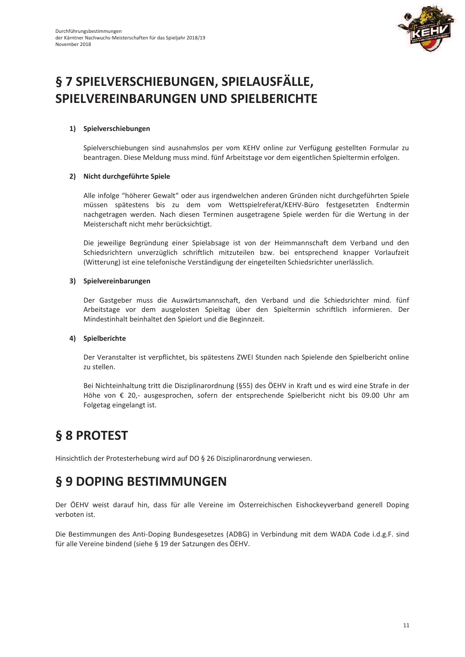

# § 7 SPIELVERSCHIEBUNGEN, SPIELAUSFÄLLE, SPIELVEREINBARUNGEN UND SPIELBERICHTE

### 1) Spielverschiebungen

Spielverschiebungen sind ausnahmslos per vom KEHV online zur Verfügung gestellten Formular zu beantragen. Diese Meldung muss mind. fünf Arbeitstage vor dem eigentlichen Spieltermin erfolgen.

#### 2) Nicht durchgeführte Spiele

Alle infolge "höherer Gewalt" oder aus irgendwelchen anderen Gründen nicht durchgeführten Spiele müssen spätestens bis zu dem vom Wettspielreferat/KEHV-Büro festgesetzten Endtermin nachgetragen werden. Nach diesen Terminen ausgetragene Spiele werden für die Wertung in der Meisterschaft nicht mehr berücksichtigt.

Die jeweilige Begründung einer Spielabsage ist von der Heimmannschaft dem Verband und den Schiedsrichtern unverzüglich schriftlich mitzuteilen bzw. bei entsprechend knapper Vorlaufzeit (Witterung) ist eine telefonische Verständigung der eingeteilten Schiedsrichter unerlässlich.

#### 3) Spielvereinbarungen

Der Gastgeber muss die Auswärtsmannschaft, den Verband und die Schiedsrichter mind. fünf Arbeitstage vor dem ausgelosten Spieltag über den Spieltermin schriftlich informieren. Der Mindestinhalt beinhaltet den Spielort und die Beginnzeit.

### 4) Spielberichte

Der Veranstalter ist verpflichtet, bis spätestens ZWEI Stunden nach Spielende den Spielbericht online zu stellen.

Bei Nichteinhaltung tritt die Disziplinarordnung (§55) des ÖEHV in Kraft und es wird eine Strafe in der Höhe von € 20,- ausgesprochen, sofern der entsprechende Spielbericht nicht bis 09.00 Uhr am Folgetag eingelangt ist.

## § 8 PROTEST

Hinsichtlich der Protesterhebung wird auf DO § 26 Disziplinarordnung verwiesen.

## § 9 DOPING BESTIMMUNGEN

Der ÖEHV weist darauf hin, dass für alle Vereine im Österreichischen Eishockeyverband generell Doping verboten ist.

Die Bestimmungen des Anti-Doping Bundesgesetzes (ADBG) in Verbindung mit dem WADA Code i.d.g.F. sind für alle Vereine bindend (siehe § 19 der Satzungen des ÖEHV.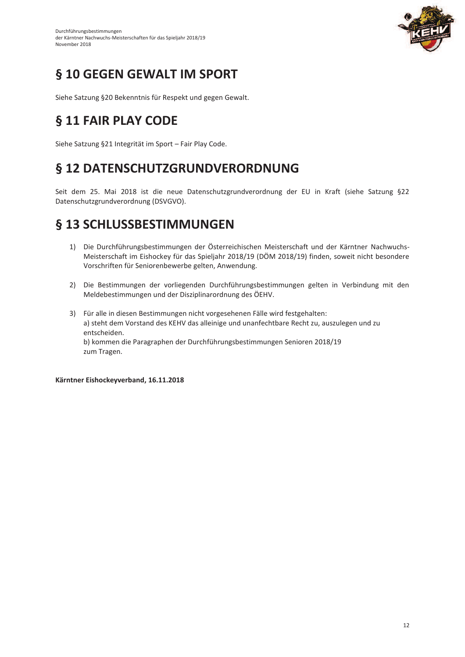

# § 10 GEGEN GEWALT IM SPORT

Siehe Satzung §20 Bekenntnis für Respekt und gegen Gewalt.

# § 11 FAIR PLAY CODE

Siehe Satzung §21 Integrität im Sport - Fair Play Code.

# § 12 DATENSCHUTZGRUNDVERORDNUNG

Seit dem 25. Mai 2018 ist die neue Datenschutzgrundverordnung der EU in Kraft (siehe Satzung §22 Datenschutzgrundverordnung (DSVGVO).

## § 13 SCHLUSSBESTIMMUNGEN

- 1) Die Durchführungsbestimmungen der Österreichischen Meisterschaft und der Kärntner Nachwuchs-Meisterschaft im Eishockey für das Spieljahr 2018/19 (DÖM 2018/19) finden, soweit nicht besondere Vorschriften für Seniorenbewerbe gelten, Anwendung.
- 2) Die Bestimmungen der vorliegenden Durchführungsbestimmungen gelten in Verbindung mit den Meldebestimmungen und der Disziplinarordnung des ÖEHV.
- 3) Für alle in diesen Bestimmungen nicht vorgesehenen Fälle wird festgehalten: a) steht dem Vorstand des KEHV das alleinige und unanfechtbare Recht zu, auszulegen und zu entscheiden. b) kommen die Paragraphen der Durchführungsbestimmungen Senioren 2018/19 zum Tragen.

Kärntner Eishockeyverband, 16.11.2018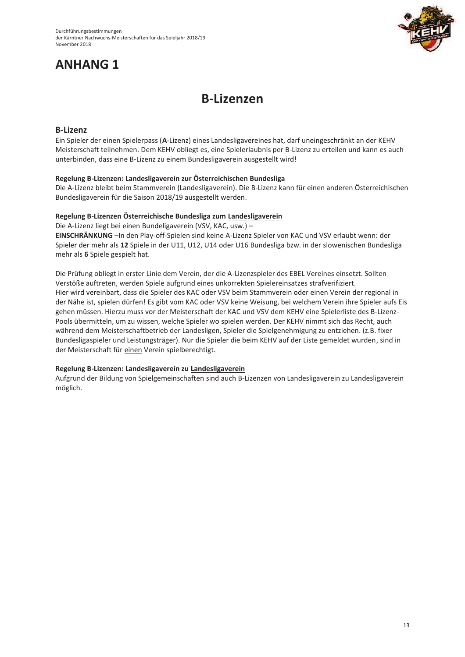# **ANHANG 1**



# **B-Lizenzen**

### **B-Lizenz**

Ein Spieler der einen Spielerpass (A-Lizenz) eines Landesligavereines hat, darf uneingeschränkt an der KEHV Meisterschaft teilnehmen. Dem KEHV obliegt es, eine Spielerlaubnis per B-Lizenz zu erteilen und kann es auch unterbinden, dass eine B-Lizenz zu einem Bundesligaverein ausgestellt wird!

#### Regelung B-Lizenzen: Landesligaverein zur Österreichischen Bundesliga

Die A-Lizenz bleibt beim Stammverein (Landesligaverein). Die B-Lizenz kann für einen anderen Österreichischen Bundesligaverein für die Saison 2018/19 ausgestellt werden.

#### Regelung B-Lizenzen Österreichische Bundesliga zum Landesligaverein

Die A-Lizenz liegt bei einen Bundeligaverein (VSV, KAC, usw.) -

EINSCHRÄNKUNG - In den Play-off-Spielen sind keine A-Lizenz Spieler von KAC und VSV erlaubt wenn: der Spieler der mehr als 12 Spiele in der U11, U12, U14 oder U16 Bundesliga bzw. in der slowenischen Bundesliga mehr als 6 Spiele gespielt hat.

Die Prüfung obliegt in erster Linie dem Verein, der die A-Lizenzspieler des EBEL Vereines einsetzt. Sollten Verstöße auftreten, werden Spiele aufgrund eines unkorrekten Spielereinsatzes strafverifiziert. Hier wird vereinbart, dass die Spieler des KAC oder VSV beim Stammverein oder einen Verein der regional in der Nähe ist, spielen dürfen! Es gibt vom KAC oder VSV keine Weisung, bei welchem Verein ihre Spieler aufs Eis gehen müssen. Hierzu muss vor der Meisterschaft der KAC und VSV dem KEHV eine Spielerliste des B-Lizenz-Pools übermitteln, um zu wissen, welche Spieler wo spielen werden. Der KEHV nimmt sich das Recht, auch während dem Meisterschaftbetrieb der Landesligen, Spieler die Spielgenehmigung zu entziehen. (z.B. fixer Bundesligaspieler und Leistungsträger). Nur die Spieler die beim KEHV auf der Liste gemeldet wurden, sind in der Meisterschaft für einen Verein spielberechtigt.

### Regelung B-Lizenzen: Landesligaverein zu Landesligaverein

Aufgrund der Bildung von Spielgemeinschaften sind auch B-Lizenzen von Landesligaverein zu Landesligaverein möglich.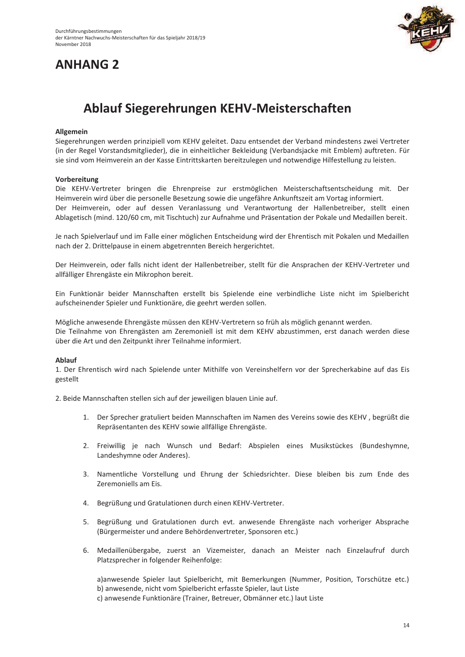## **ANHANG 2**



# Ablauf Siegerehrungen KEHV-Meisterschaften

#### Allgemein

Siegerehrungen werden prinzipiell vom KEHV geleitet. Dazu entsendet der Verband mindestens zwei Vertreter (in der Regel Vorstandsmitglieder), die in einheitlicher Bekleidung (Verbandsjacke mit Emblem) auftreten. Für sie sind vom Heimverein an der Kasse Eintrittskarten bereitzulegen und notwendige Hilfestellung zu leisten.

#### Vorbereitung

Die KEHV-Vertreter bringen die Ehrenpreise zur erstmöglichen Meisterschaftsentscheidung mit. Der Heimverein wird über die personelle Besetzung sowie die ungefähre Ankunftszeit am Vortag informiert. Der Heimverein, oder auf dessen Veranlassung und Verantwortung der Hallenbetreiber, stellt einen Ablagetisch (mind. 120/60 cm, mit Tischtuch) zur Aufnahme und Präsentation der Pokale und Medaillen bereit.

Je nach Spielverlauf und im Falle einer möglichen Entscheidung wird der Ehrentisch mit Pokalen und Medaillen nach der 2. Drittelpause in einem abgetrennten Bereich hergerichtet.

Der Heimverein, oder falls nicht ident der Hallenbetreiber, stellt für die Ansprachen der KEHV-Vertreter und allfälliger Ehrengäste ein Mikrophon bereit.

Ein Funktionär beider Mannschaften erstellt bis Spielende eine verbindliche Liste nicht im Spielbericht aufscheinender Spieler und Funktionäre, die geehrt werden sollen.

Mögliche anwesende Ehrengäste müssen den KEHV-Vertretern so früh als möglich genannt werden. Die Teilnahme von Ehrengästen am Zeremoniell ist mit dem KEHV abzustimmen, erst danach werden diese über die Art und den Zeitpunkt ihrer Teilnahme informiert.

#### **Ablauf**

1. Der Ehrentisch wird nach Spielende unter Mithilfe von Vereinshelfern vor der Sprecherkabine auf das Eis gestellt

2. Beide Mannschaften stellen sich auf der jeweiligen blauen Linie auf.

- 1. Der Sprecher gratuliert beiden Mannschaften im Namen des Vereins sowie des KEHV, begrüßt die Repräsentanten des KEHV sowie allfällige Ehrengäste.
- 2. Freiwillig je nach Wunsch und Bedarf: Abspielen eines Musikstückes (Bundeshymne, Landeshymne oder Anderes).
- 3. Namentliche Vorstellung und Ehrung der Schiedsrichter. Diese bleiben bis zum Ende des Zeremoniells am Eis.
- 4. Begrüßung und Gratulationen durch einen KEHV-Vertreter.
- 5. Begrüßung und Gratulationen durch evt. anwesende Ehrengäste nach vorheriger Absprache (Bürgermeister und andere Behördenvertreter, Sponsoren etc.)
- 6. Medaillenübergabe, zuerst an Vizemeister, danach an Meister nach Einzelaufruf durch Platzsprecher in folgender Reihenfolge:

a)anwesende Spieler laut Spielbericht, mit Bemerkungen (Nummer, Position, Torschütze etc.) b) anwesende, nicht vom Spielbericht erfasste Spieler, laut Liste c) anwesende Funktionäre (Trainer, Betreuer, Obmänner etc.) laut Liste